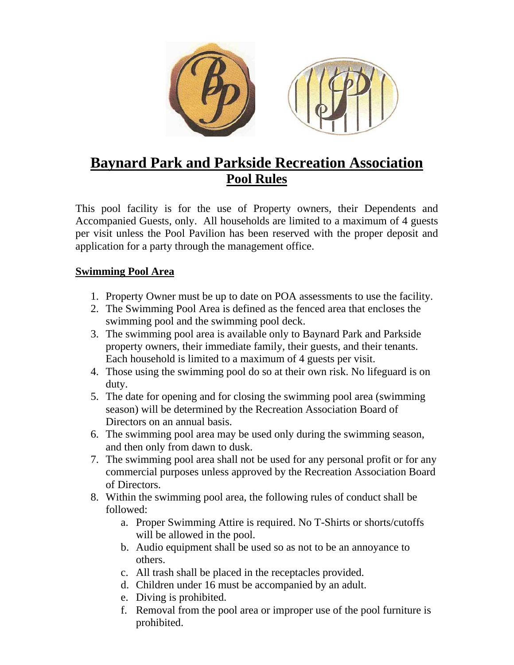

## **Baynard Park and Parkside Recreation Association Pool Rules**

This pool facility is for the use of Property owners, their Dependents and Accompanied Guests, only. All households are limited to a maximum of 4 guests per visit unless the Pool Pavilion has been reserved with the proper deposit and application for a party through the management office.

## **Swimming Pool Area**

- 1. Property Owner must be up to date on POA assessments to use the facility.
- 2. The Swimming Pool Area is defined as the fenced area that encloses the swimming pool and the swimming pool deck.
- 3. The swimming pool area is available only to Baynard Park and Parkside property owners, their immediate family, their guests, and their tenants. Each household is limited to a maximum of 4 guests per visit.
- 4. Those using the swimming pool do so at their own risk. No lifeguard is on duty.
- 5. The date for opening and for closing the swimming pool area (swimming season) will be determined by the Recreation Association Board of Directors on an annual basis.
- 6. The swimming pool area may be used only during the swimming season, and then only from dawn to dusk.
- 7. The swimming pool area shall not be used for any personal profit or for any commercial purposes unless approved by the Recreation Association Board of Directors.
- 8. Within the swimming pool area, the following rules of conduct shall be followed:
	- a. Proper Swimming Attire is required. No T-Shirts or shorts/cutoffs will be allowed in the pool.
	- b. Audio equipment shall be used so as not to be an annoyance to others.
	- c. All trash shall be placed in the receptacles provided.
	- d. Children under 16 must be accompanied by an adult.
	- e. Diving is prohibited.
	- f. Removal from the pool area or improper use of the pool furniture is prohibited.